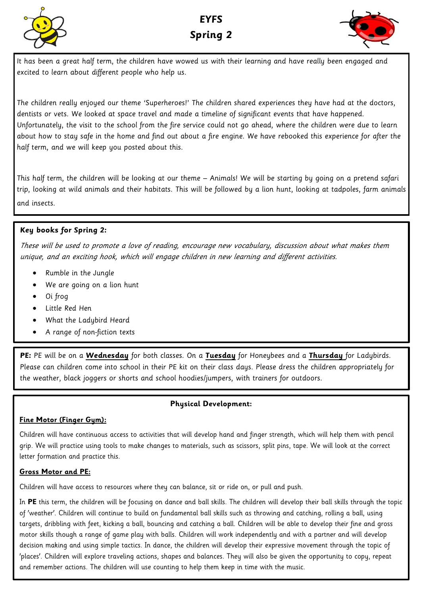



It has been a great half term, the children have wowed us with their learning and have really been engaged and excited to learn about different people who help us.

The children really enjoyed our theme 'Superheroes!' The children shared experiences they have had at the doctors, dentists or vets. We looked at space travel and made a timeline of significant events that have happened. Unfortunately, the visit to the school from the fire service could not go ahead, where the children were due to learn about how to stay safe in the home and find out about a fire engine. We have rebooked this experience for after the half term, and we will keep you posted about this.

This half term, the children will be looking at our theme – Animals! We will be starting by going on a pretend safari trip, looking at wild animals and their habitats. This will be followed by a lion hunt, looking at tadpoles, farm animals and insects.

## **Key books for Spring 2:**

These will be used to promote a love of reading, encourage new vocabulary, discussion about what makes them unique, and an exciting hook, which will engage children in new learning and different activities.

- Rumble in the Jungle
- We are going on a lion hunt
- Oi frog
- Little Red Hen
- What the Ladybird Heard
- A range of non-fiction texts

**PE:** PE will be on a **Wednesday** for both classes. On a **Tuesday** for Honeybees and a **Thursday** for Ladybirds. Please can children come into school in their PE kit on their class days. Please dress the children appropriately for the weather, black joggers or shorts and school hoodies/jumpers, with trainers for outdoors.

## **Physical Development:**

## **Fine Motor (Finger Gym):**

Children will have continuous access to activities that will develop hand and finger strength, which will help them with pencil grip. We will practice using tools to make changes to materials, such as scissors, split pins, tape. We will look at the correct letter formation and practice this.

## **Gross Motor and PE:**

Children will have access to resources where they can balance, sit or ride on, or pull and push.

In **PE** this term, the children will be focusing on dance and ball skills. The children will develop their ball skills through the topic of 'weather'. Children will continue to build on fundamental ball skills such as throwing and catching, rolling a ball, using targets, dribbling with feet, kicking a ball, bouncing and catching a ball. Children will be able to develop their fine and gross motor skills though a range of game play with balls. Children will work independently and with a partner and will develop decision making and using simple tactics. In dance, the children will develop their expressive movement through the topic of 'places'. Children will explore traveling actions, shapes and balances. They will also be given the opportunity to copy, repeat and remember actions. The children will use counting to help them keep in time with the music.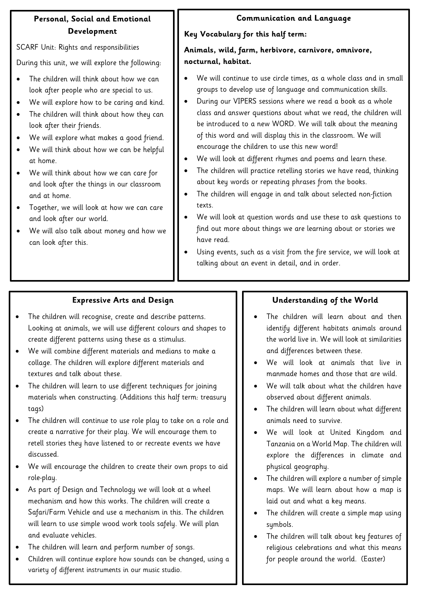# **Personal, Social and Emotional Development**

SCARF Unit: Rights and responsibilities

During this unit, we will explore the following:

- The children will think about how we can look after people who are special to us.
- We will explore how to be caring and kind.
- The children will think about how they can look after their friends.
- We will explore what makes a good friend.
- We will think about how we can be helpful at home.
- We will think about how we can care for and look after the things in our classroom and at home.
- Together, we will look at how we can care and look after our world.
- We will also talk about money and how we can look after this.

# **Communication and Language**

## **Key Vocabulary for this half term:**

**Animals, wild, farm, herbivore, carnivore, omnivore, nocturnal, habitat.** 

- We will continue to use circle times, as a whole class and in small groups to develop use of language and communication skills.
- During our VIPERS sessions where we read a book as a whole class and answer questions about what we read, the children will be introduced to a new WORD. We will talk about the meaning of this word and will display this in the classroom. We will encourage the children to use this new word!
- We will look at different rhymes and poems and learn these.
- The children will practice retelling stories we have read, thinking about key words or repeating phrases from the books.
- The children will engage in and talk about selected non-fiction texts.
- We will look at question words and use these to ask questions to find out more about things we are learning about or stories we have read.
- Using events, such as a visit from the fire service, we will look at talking about an event in detail, and in order.

# **Expressive Arts and Design**

- The children will recognise, create and describe patterns. Looking at animals, we will use different colours and shapes to create different patterns using these as a stimulus.
- We will combine different materials and medians to make a collage. The children will explore different materials and textures and talk about these.
- The children will learn to use different techniques for joining materials when constructing. (Additions this half term: treasury tags)
- The children will continue to use role play to take on a role and create a narrative for their play. We will encourage them to retell stories they have listened to or recreate events we have discussed.
- We will encourage the children to create their own props to aid role-play.
- As part of Design and Technology we will look at a wheel mechanism and how this works. The children will create a Safari/Farm Vehicle and use a mechanism in this. The children will learn to use simple wood work tools safely. We will plan and evaluate vehicles.
- The children will learn and perform number of songs.
- Children will continue explore how sounds can be changed, using a variety of different instruments in our music studio.

# **Understanding of the World**

- The children will learn about and then identify different habitats animals around the world live in. We will look at similarities and differences between these.
- We will look at animals that live in manmade homes and those that are wild.
- We will talk about what the children have observed about different animals.
- The children will learn about what different animals need to survive.
- We will look at United Kingdom and Tanzania on a World Map. The children will explore the differences in climate and physical geography.
- The children will explore a number of simple maps. We will learn about how a map is laid out and what a key means.
- The children will create a simple map using symbols.
- The children will talk about key features of religious celebrations and what this means for people around the world. (Easter)